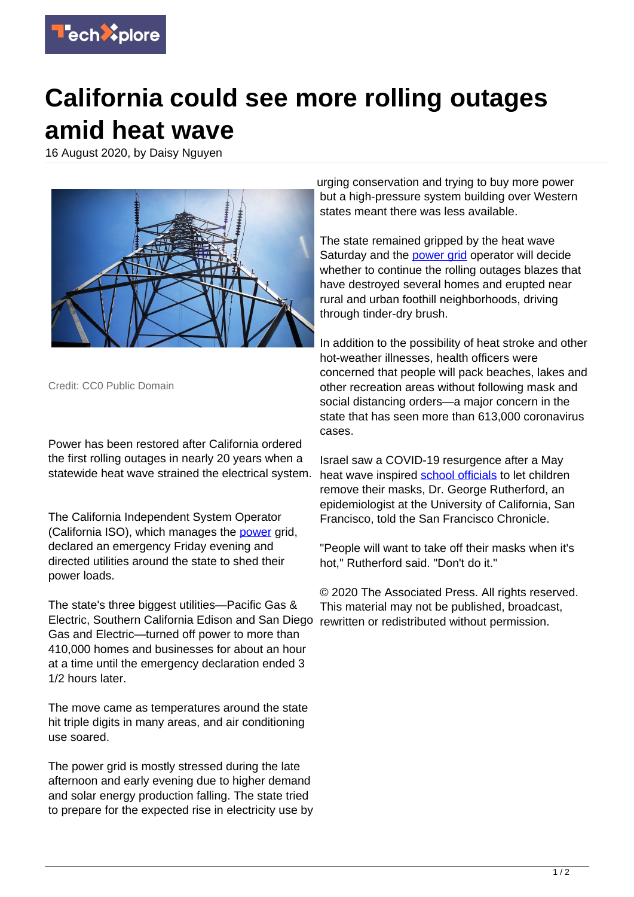

## **California could see more rolling outages amid heat wave**

16 August 2020, by Daisy Nguyen



Credit: CC0 Public Domain

Power has been restored after California ordered the first rolling outages in nearly 20 years when a statewide heat wave strained the electrical system.

The California Independent System Operator (California ISO), which manages the [power](https://techxplore.com/tags/power/) grid, declared an emergency Friday evening and directed utilities around the state to shed their power loads.

The state's three biggest utilities—Pacific Gas & Electric, Southern California Edison and San Diego rewritten or redistributed without permission. Gas and Electric—turned off power to more than 410,000 homes and businesses for about an hour at a time until the emergency declaration ended 3 1/2 hours later.

The move came as temperatures around the state hit triple digits in many areas, and air conditioning use soared.

The power grid is mostly stressed during the late afternoon and early evening due to higher demand and solar energy production falling. The state tried to prepare for the expected rise in electricity use by

urging conservation and trying to buy more power but a high-pressure system building over Western states meant there was less available.

The state remained gripped by the heat wave Saturday and the [power grid](https://techxplore.com/tags/power+grid/) operator will decide whether to continue the rolling outages blazes that have destroyed several homes and erupted near rural and urban foothill neighborhoods, driving through tinder-dry brush.

In addition to the possibility of heat stroke and other hot-weather illnesses, health officers were concerned that people will pack beaches, lakes and other recreation areas without following mask and social distancing orders—a major concern in the state that has seen more than 613,000 coronavirus cases.

Israel saw a COVID-19 resurgence after a May heat wave inspired [school officials](https://techxplore.com/tags/school+officials/) to let children remove their masks, Dr. George Rutherford, an epidemiologist at the University of California, San Francisco, told the San Francisco Chronicle.

"People will want to take off their masks when it's hot," Rutherford said. "Don't do it."

© 2020 The Associated Press. All rights reserved. This material may not be published, broadcast,